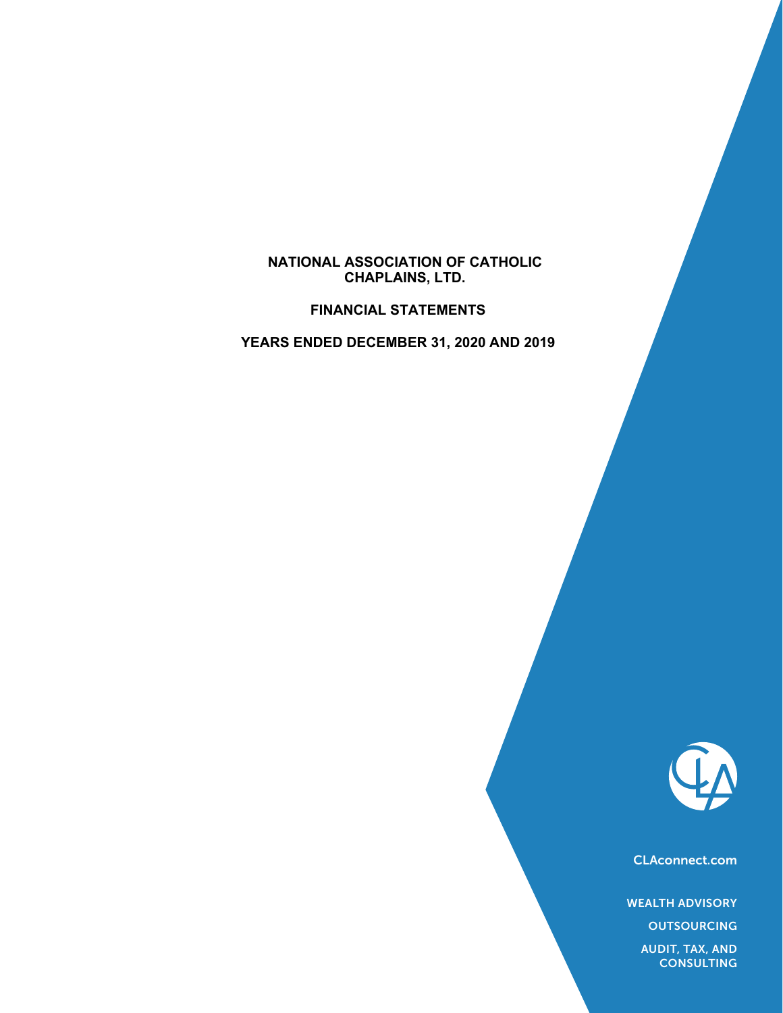## **NATIONAL ASSOCIATION OF CATHOLIC CHAPLAINS, LTD.**

**FINANCIAL STATEMENTS**

**YEARS ENDED DECEMBER 31, 2020 AND 2019**



CLAconnect.com

WEALTH ADVISORY

**OUTSOURCING** 

AUDIT, TAX, AND **CONSULTING**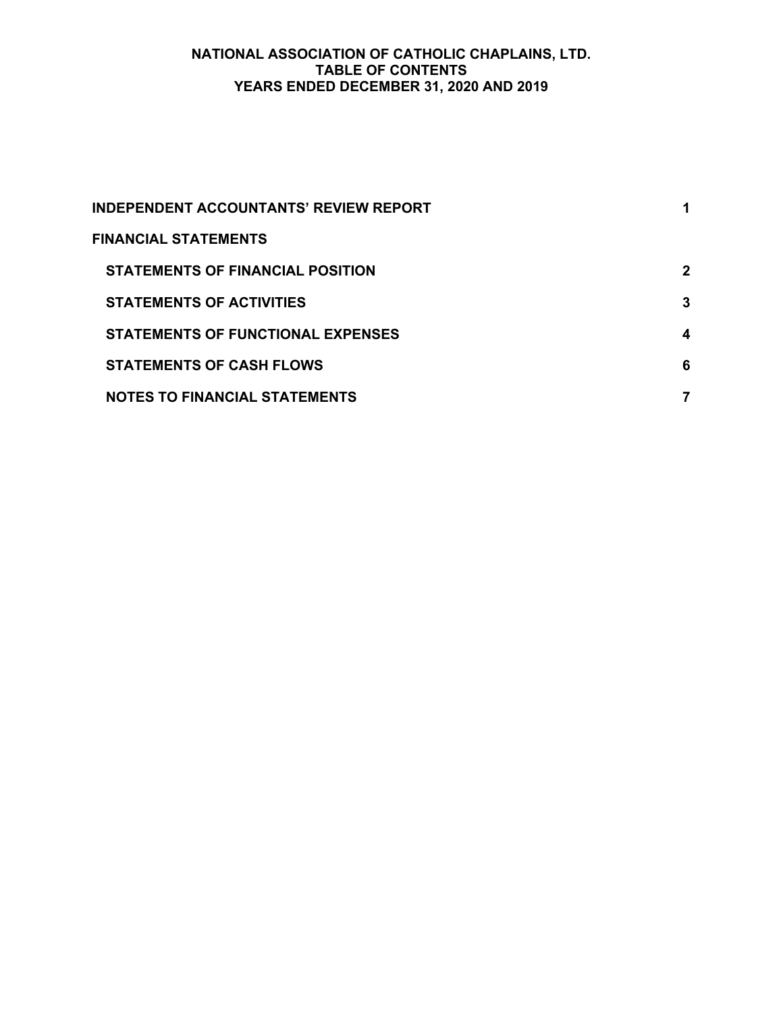## **NATIONAL ASSOCIATION OF CATHOLIC CHAPLAINS, LTD. TABLE OF CONTENTS YEARS ENDED DECEMBER 31, 2020 AND 2019**

| <b>INDEPENDENT ACCOUNTANTS' REVIEW REPORT</b> |             |
|-----------------------------------------------|-------------|
| <b>FINANCIAL STATEMENTS</b>                   |             |
| <b>STATEMENTS OF FINANCIAL POSITION</b>       | $\mathbf 2$ |
| <b>STATEMENTS OF ACTIVITIES</b>               | 3           |
| <b>STATEMENTS OF FUNCTIONAL EXPENSES</b>      | 4           |
| <b>STATEMENTS OF CASH FLOWS</b>               | 6           |
| <b>NOTES TO FINANCIAL STATEMENTS</b>          |             |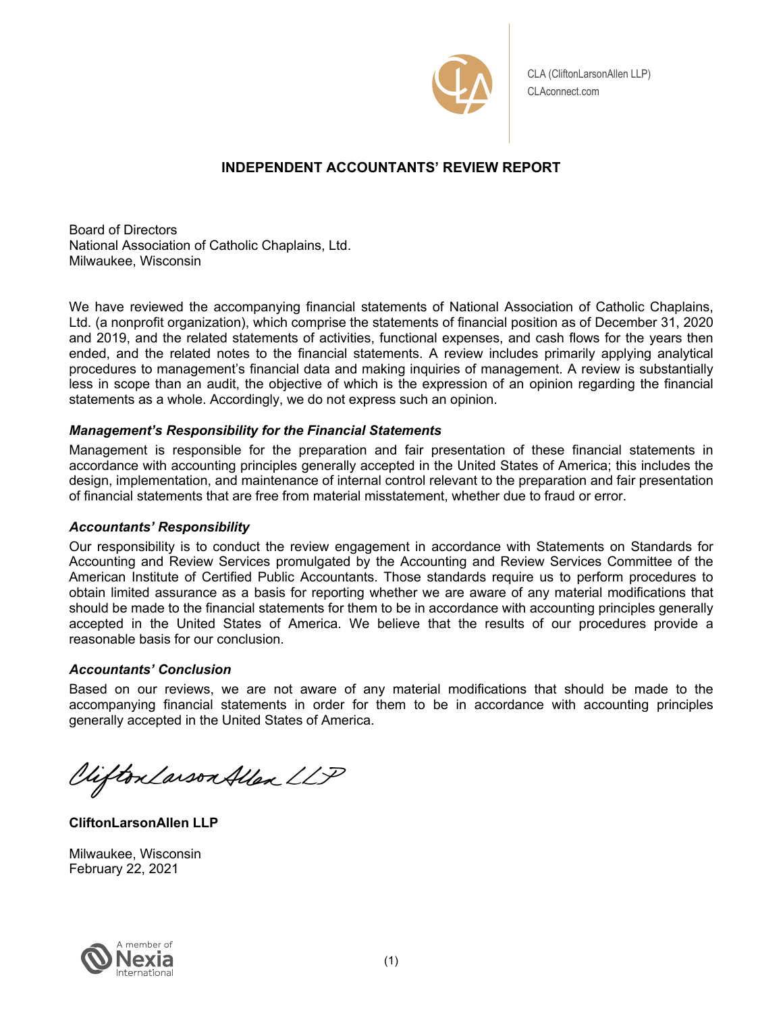

CLA (CliftonLarsonAllen LLP) CLAconnect.com

# **INDEPENDENT ACCOUNTANTS' REVIEW REPORT**

Board of Directors National Association of Catholic Chaplains, Ltd. Milwaukee, Wisconsin

We have reviewed the accompanying financial statements of National Association of Catholic Chaplains, Ltd. (a nonprofit organization), which comprise the statements of financial position as of December 31, 2020 and 2019, and the related statements of activities, functional expenses, and cash flows for the years then ended, and the related notes to the financial statements. A review includes primarily applying analytical procedures to management's financial data and making inquiries of management. A review is substantially less in scope than an audit, the objective of which is the expression of an opinion regarding the financial statements as a whole. Accordingly, we do not express such an opinion.

### *Management's Responsibility for the Financial Statements*

Management is responsible for the preparation and fair presentation of these financial statements in accordance with accounting principles generally accepted in the United States of America; this includes the design, implementation, and maintenance of internal control relevant to the preparation and fair presentation of financial statements that are free from material misstatement, whether due to fraud or error.

#### *Accountants' Responsibility*

Our responsibility is to conduct the review engagement in accordance with Statements on Standards for Accounting and Review Services promulgated by the Accounting and Review Services Committee of the American Institute of Certified Public Accountants. Those standards require us to perform procedures to obtain limited assurance as a basis for reporting whether we are aware of any material modifications that should be made to the financial statements for them to be in accordance with accounting principles generally accepted in the United States of America. We believe that the results of our procedures provide a reasonable basis for our conclusion.

#### *Accountants' Conclusion*

Based on our reviews, we are not aware of any material modifications that should be made to the accompanying financial statements in order for them to be in accordance with accounting principles generally accepted in the United States of America.

Viifton Larson Allen LLP

**CliftonLarsonAllen LLP**

Milwaukee, Wisconsin February 22, 2021

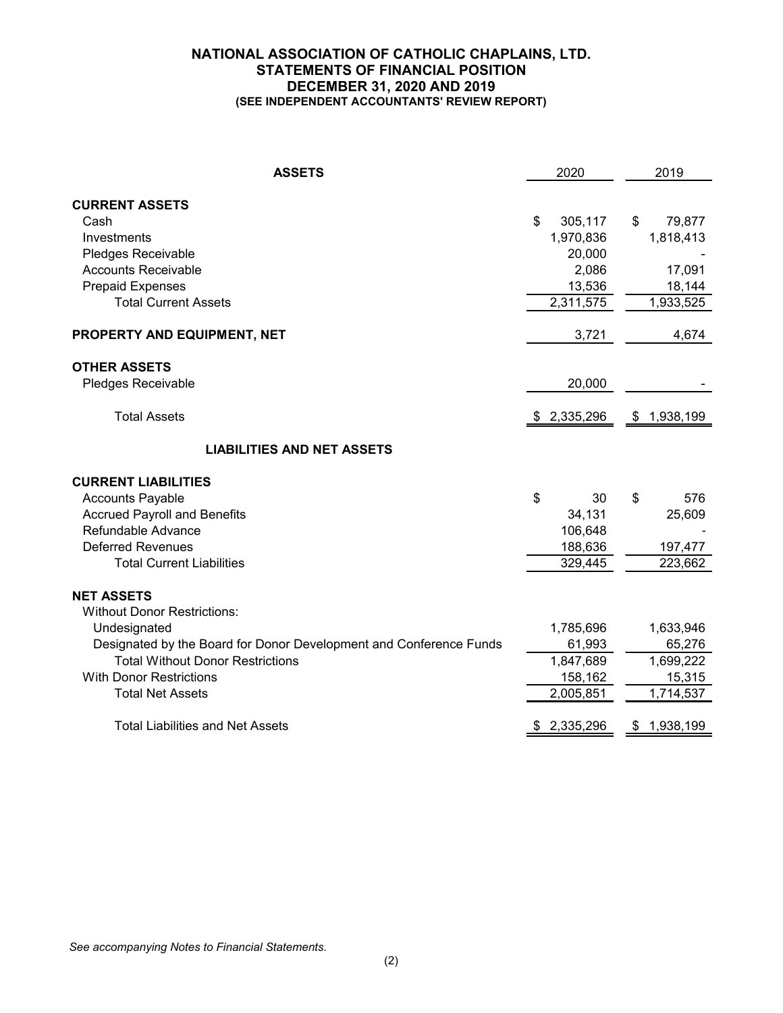| <b>ASSETS</b>                                                      | 2020            | 2019            |
|--------------------------------------------------------------------|-----------------|-----------------|
|                                                                    |                 |                 |
| <b>CURRENT ASSETS</b><br>Cash                                      | \$<br>305,117   | 79,877<br>\$    |
| Investments                                                        | 1,970,836       | 1,818,413       |
| Pledges Receivable                                                 | 20,000          |                 |
| <b>Accounts Receivable</b>                                         | 2,086           | 17,091          |
| <b>Prepaid Expenses</b>                                            | 13,536          | 18,144          |
| <b>Total Current Assets</b>                                        | 2,311,575       | 1,933,525       |
|                                                                    |                 |                 |
| PROPERTY AND EQUIPMENT, NET                                        | 3,721           | 4,674           |
| <b>OTHER ASSETS</b>                                                |                 |                 |
| Pledges Receivable                                                 | 20,000          |                 |
|                                                                    |                 |                 |
| <b>Total Assets</b>                                                | \$2,335,296     | 1,938,199<br>S. |
| <b>LIABILITIES AND NET ASSETS</b>                                  |                 |                 |
| <b>CURRENT LIABILITIES</b>                                         |                 |                 |
| <b>Accounts Payable</b>                                            | \$<br>30        | \$<br>576       |
| <b>Accrued Payroll and Benefits</b>                                | 34,131          | 25,609          |
| Refundable Advance                                                 | 106,648         |                 |
| <b>Deferred Revenues</b>                                           | 188,636         | 197,477         |
| <b>Total Current Liabilities</b>                                   | 329,445         | 223,662         |
| <b>NET ASSETS</b>                                                  |                 |                 |
| <b>Without Donor Restrictions:</b>                                 |                 |                 |
| Undesignated                                                       | 1,785,696       | 1,633,946       |
| Designated by the Board for Donor Development and Conference Funds | 61,993          | 65,276          |
| <b>Total Without Donor Restrictions</b>                            | 1,847,689       | 1,699,222       |
| <b>With Donor Restrictions</b>                                     | 158,162         | 15,315          |
| <b>Total Net Assets</b>                                            | 2,005,851       | 1,714,537       |
|                                                                    |                 |                 |
| <b>Total Liabilities and Net Assets</b>                            | 2,335,296<br>\$ | 1,938,199<br>\$ |

*See accompanying Notes to Financial Statements.*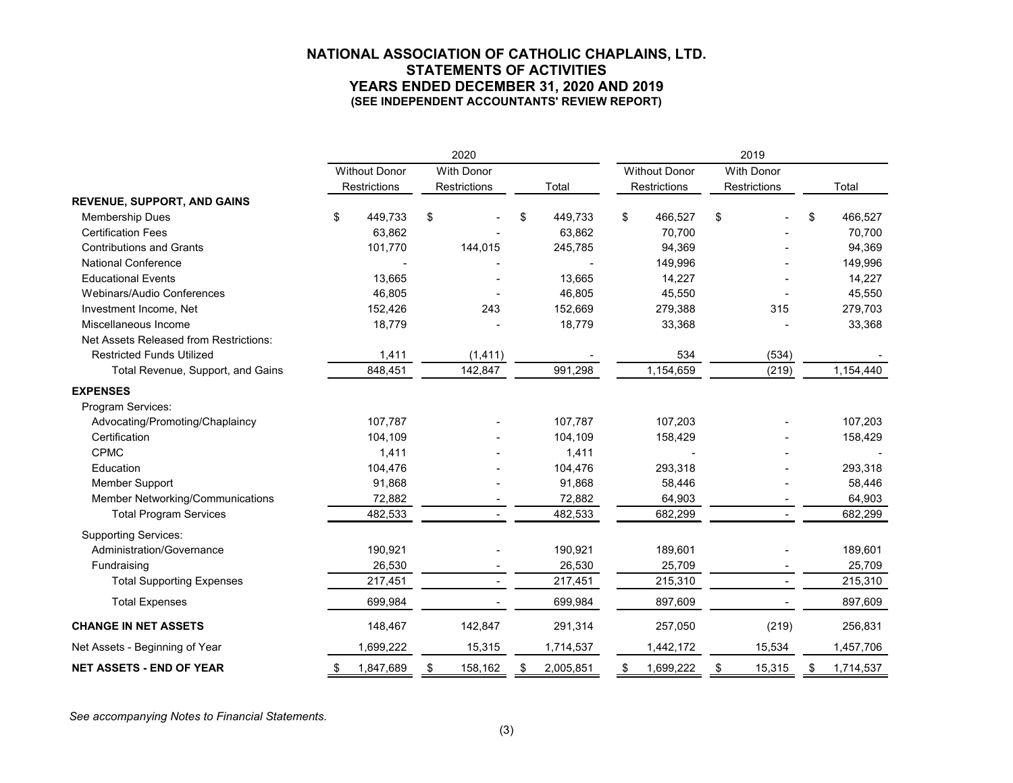#### **NATIONAL ASSOCIATION OF CATHOLIC CHAPLAINS, LTD. STATEMENTS OF ACTIVITIES YEARS ENDED DECEMBER 31, 2020 AND 2019 (SEE INDEPENDENT ACCOUNTANTS' REVIEW REPORT)**

|                                        |                      | 2020                |                 | 2019 |                      |    |                   |    |           |
|----------------------------------------|----------------------|---------------------|-----------------|------|----------------------|----|-------------------|----|-----------|
|                                        | <b>Without Donor</b> | <b>With Donor</b>   |                 |      | <b>Without Donor</b> |    | <b>With Donor</b> |    |           |
|                                        | <b>Restrictions</b>  | <b>Restrictions</b> | Total           |      | <b>Restrictions</b>  |    | Restrictions      |    | Total     |
| <b>REVENUE, SUPPORT, AND GAINS</b>     |                      |                     |                 |      |                      |    |                   |    |           |
| <b>Membership Dues</b>                 | \$<br>449,733        | \$                  | \$<br>449,733   | \$   | 466,527              | \$ |                   | \$ | 466,527   |
| <b>Certification Fees</b>              | 63,862               |                     | 63,862          |      | 70,700               |    |                   |    | 70,700    |
| <b>Contributions and Grants</b>        | 101,770              | 144,015             | 245,785         |      | 94,369               |    |                   |    | 94,369    |
| <b>National Conference</b>             |                      |                     |                 |      | 149,996              |    |                   |    | 149,996   |
| <b>Educational Events</b>              | 13,665               |                     | 13,665          |      | 14,227               |    |                   |    | 14,227    |
| Webinars/Audio Conferences             | 46,805               |                     | 46,805          |      | 45,550               |    |                   |    | 45,550    |
| Investment Income, Net                 | 152,426              | 243                 | 152,669         |      | 279,388              |    | 315               |    | 279,703   |
| Miscellaneous Income                   | 18,779               |                     | 18,779          |      | 33,368               |    |                   |    | 33,368    |
| Net Assets Released from Restrictions: |                      |                     |                 |      |                      |    |                   |    |           |
| <b>Restricted Funds Utilized</b>       | 1,411                | (1, 411)            |                 |      | 534                  |    | (534)             |    |           |
| Total Revenue, Support, and Gains      | 848,451              | 142,847             | 991,298         |      | 1,154,659            |    | (219)             |    | 1,154,440 |
| <b>EXPENSES</b>                        |                      |                     |                 |      |                      |    |                   |    |           |
| Program Services:                      |                      |                     |                 |      |                      |    |                   |    |           |
| Advocating/Promoting/Chaplaincy        | 107,787              |                     | 107,787         |      | 107,203              |    |                   |    | 107,203   |
| Certification                          | 104,109              |                     | 104,109         |      | 158,429              |    |                   |    | 158,429   |
| <b>CPMC</b>                            | 1,411                |                     | 1,411           |      |                      |    |                   |    |           |
| Education                              | 104,476              |                     | 104,476         |      | 293,318              |    |                   |    | 293,318   |
| Member Support                         | 91,868               |                     | 91,868          |      | 58,446               |    |                   |    | 58,446    |
| Member Networking/Communications       | 72,882               |                     | 72,882          |      | 64,903               |    |                   |    | 64,903    |
| <b>Total Program Services</b>          | 482,533              |                     | 482,533         |      | 682,299              |    |                   |    | 682,299   |
| <b>Supporting Services:</b>            |                      |                     |                 |      |                      |    |                   |    |           |
| Administration/Governance              | 190,921              |                     | 190,921         |      | 189,601              |    |                   |    | 189,601   |
| Fundraising                            | 26,530               |                     | 26,530          |      | 25,709               |    |                   |    | 25,709    |
| <b>Total Supporting Expenses</b>       | 217,451              |                     | 217,451         |      | 215,310              |    | $\sim$            |    | 215,310   |
| <b>Total Expenses</b>                  | 699,984              |                     | 699,984         |      | 897,609              |    |                   |    | 897,609   |
| <b>CHANGE IN NET ASSETS</b>            | 148,467              | 142,847             | 291,314         |      | 257,050              |    | (219)             |    | 256,831   |
| Net Assets - Beginning of Year         | 1,699,222            | 15,315              | 1,714,537       |      | 1,442,172            |    | 15,534            |    | 1,457,706 |
| <b>NET ASSETS - END OF YEAR</b>        | \$<br>1,847,689      | \$<br>158,162       | \$<br>2,005,851 | \$   | 1,699,222            | \$ | 15,315            | \$ | 1,714,537 |

*See accompanying Notes to Financial Statements.*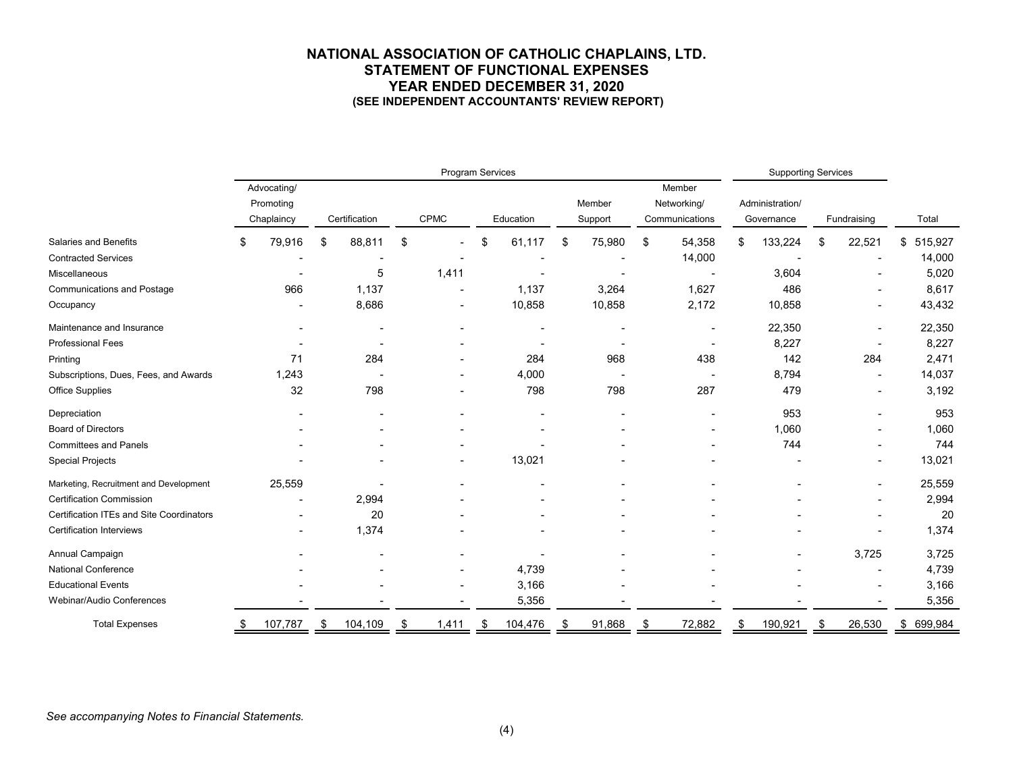#### **NATIONAL ASSOCIATION OF CATHOLIC CHAPLAINS, LTD. STATEMENT OF FUNCTIONAL EXPENSES YEAR ENDED DECEMBER 31, 2020 (SEE INDEPENDENT ACCOUNTANTS' REVIEW REPORT)**

|                                          | Program Services |                                        |    |                          |    |             |    |                          |                          | <b>Supporting Services</b> |                                         |     |                               |    |                          |               |
|------------------------------------------|------------------|----------------------------------------|----|--------------------------|----|-------------|----|--------------------------|--------------------------|----------------------------|-----------------------------------------|-----|-------------------------------|----|--------------------------|---------------|
|                                          |                  | Advocating/<br>Promoting<br>Chaplaincy |    | Certification            |    | <b>CPMC</b> |    | Education                | Member<br>Support        |                            | Member<br>Networking/<br>Communications |     | Administration/<br>Governance |    | Fundraising              | Total         |
| <b>Salaries and Benefits</b>             | £.               | 79,916                                 | \$ | 88,811                   | \$ |             | \$ | 61,117                   | \$<br>75,980             | \$                         | 54,358                                  | \$. | 133,224                       | \$ | 22,521                   | 515,927<br>\$ |
| <b>Contracted Services</b>               |                  |                                        |    |                          |    |             |    |                          |                          |                            | 14,000                                  |     |                               |    | $\overline{\phantom{a}}$ | 14,000        |
| Miscellaneous                            |                  |                                        |    | 5                        |    | 1,411       |    |                          |                          |                            |                                         |     | 3,604                         |    |                          | 5,020         |
| <b>Communications and Postage</b>        |                  | 966                                    |    | 1,137                    |    |             |    | 1,137                    | 3,264                    |                            | 1,627                                   |     | 486                           |    |                          | 8,617         |
| Occupancy                                |                  |                                        |    | 8,686                    |    |             |    | 10,858                   | 10,858                   |                            | 2,172                                   |     | 10,858                        |    | $\overline{\phantom{a}}$ | 43,432        |
| Maintenance and Insurance                |                  |                                        |    |                          |    |             |    |                          |                          |                            | ٠                                       |     | 22,350                        |    | $\blacksquare$           | 22,350        |
| <b>Professional Fees</b>                 |                  |                                        |    | $\overline{\phantom{a}}$ |    |             |    | $\overline{\phantom{a}}$ | $\overline{\phantom{a}}$ |                            | $\overline{\phantom{a}}$                |     | 8,227                         |    | $\overline{\phantom{a}}$ | 8,227         |
| Printing                                 |                  | 71                                     |    | 284                      |    |             |    | 284                      | 968                      |                            | 438                                     |     | 142                           |    | 284                      | 2,471         |
| Subscriptions, Dues, Fees, and Awards    |                  | 1,243                                  |    |                          |    |             |    | 4,000                    |                          |                            |                                         |     | 8,794                         |    | $\blacksquare$           | 14,037        |
| <b>Office Supplies</b>                   |                  | 32                                     |    | 798                      |    |             |    | 798                      | 798                      |                            | 287                                     |     | 479                           |    | $\overline{\phantom{a}}$ | 3,192         |
| Depreciation                             |                  |                                        |    |                          |    |             |    |                          |                          |                            |                                         |     | 953                           |    |                          | 953           |
| <b>Board of Directors</b>                |                  |                                        |    |                          |    |             |    |                          |                          |                            |                                         |     | 1,060                         |    | ٠                        | 1,060         |
| <b>Committees and Panels</b>             |                  |                                        |    |                          |    |             |    |                          |                          |                            |                                         |     | 744                           |    |                          | 744           |
| <b>Special Projects</b>                  |                  |                                        |    |                          |    |             |    | 13,021                   |                          |                            |                                         |     |                               |    | $\blacksquare$           | 13,021        |
| Marketing, Recruitment and Development   |                  | 25,559                                 |    |                          |    |             |    |                          |                          |                            |                                         |     |                               |    | $\overline{\phantom{a}}$ | 25,559        |
| <b>Certification Commission</b>          |                  |                                        |    | 2,994                    |    |             |    |                          |                          |                            |                                         |     |                               |    |                          | 2,994         |
| Certification ITEs and Site Coordinators |                  |                                        |    | 20                       |    |             |    |                          |                          |                            |                                         |     |                               |    |                          | 20            |
| <b>Certification Interviews</b>          |                  |                                        |    | 1,374                    |    |             |    |                          |                          |                            |                                         |     |                               |    | ٠                        | 1,374         |
| Annual Campaign                          |                  |                                        |    |                          |    |             |    |                          |                          |                            |                                         |     |                               |    | 3,725                    | 3,725         |
| <b>National Conference</b>               |                  |                                        |    |                          |    |             |    | 4,739                    |                          |                            |                                         |     |                               |    | ÷                        | 4,739         |
| <b>Educational Events</b>                |                  |                                        |    |                          |    |             |    | 3,166                    |                          |                            |                                         |     |                               |    |                          | 3,166         |
| Webinar/Audio Conferences                |                  |                                        |    |                          |    |             |    | 5,356                    |                          |                            |                                         |     |                               |    |                          | 5,356         |
| <b>Total Expenses</b>                    | - \$             | 107,787                                | \$ | 104,109                  | \$ | 1,411       | \$ | 104,476                  | \$<br>91,868             | \$                         | 72,882                                  | \$  | 190,921                       | \$ | 26,530                   | \$ 699,984    |

*See accompanying Notes to Financial Statements.*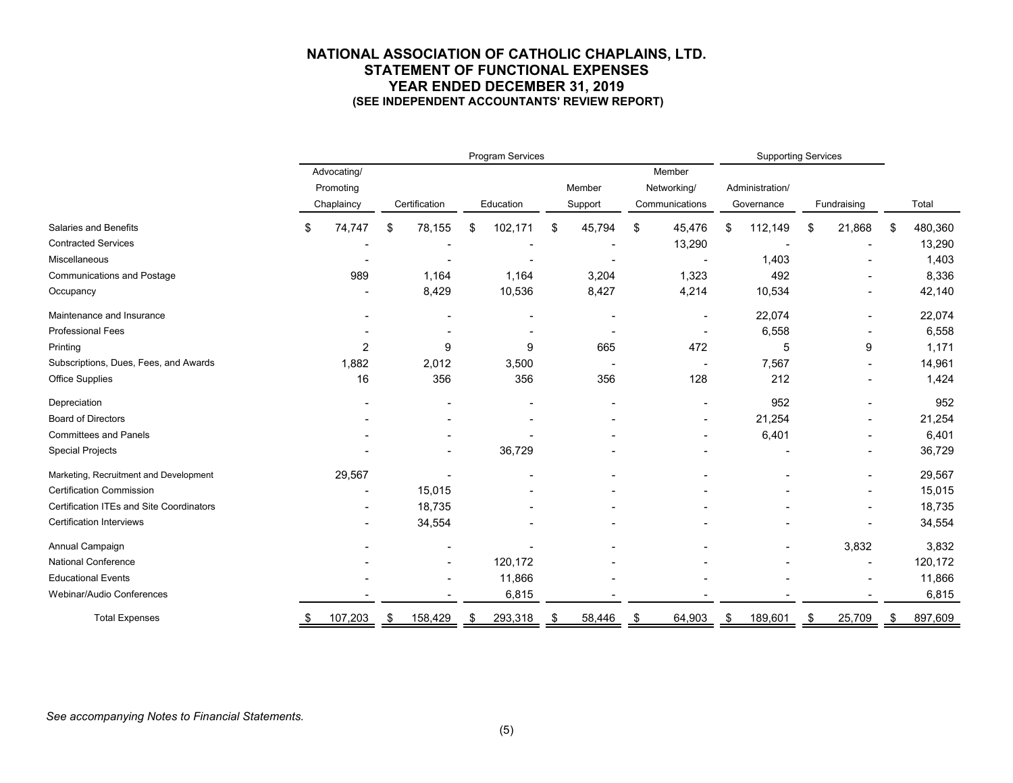#### **NATIONAL ASSOCIATION OF CATHOLIC CHAPLAINS, LTD. STATEMENT OF FUNCTIONAL EXPENSES YEAR ENDED DECEMBER 31, 2019 (SEE INDEPENDENT ACCOUNTANTS' REVIEW REPORT)**

|                                          |                                        | <b>Program Services</b> |               |           |           |    |                   | <b>Supporting Services</b>              |                               |    |                   |    |         |
|------------------------------------------|----------------------------------------|-------------------------|---------------|-----------|-----------|----|-------------------|-----------------------------------------|-------------------------------|----|-------------------|----|---------|
|                                          | Advocating/<br>Promoting<br>Chaplaincy |                         | Certification |           | Education |    | Member<br>Support | Member<br>Networking/<br>Communications | Administration/<br>Governance |    | Fundraising       |    | Total   |
| Salaries and Benefits                    | \$<br>74,747                           | \$                      | 78,155        | \$        | 102,171   | \$ | 45,794            | \$<br>45,476                            | \$<br>112,149                 | \$ | 21,868            | \$ | 480,360 |
| <b>Contracted Services</b>               |                                        |                         |               |           |           |    |                   | 13,290                                  |                               |    |                   |    | 13,290  |
| Miscellaneous                            |                                        |                         |               |           |           |    |                   |                                         | 1,403                         |    |                   |    | 1,403   |
| <b>Communications and Postage</b>        | 989                                    |                         | 1,164         |           | 1,164     |    | 3,204             | 1,323                                   | 492                           |    |                   |    | 8,336   |
| Occupancy                                |                                        |                         | 8,429         |           | 10,536    |    | 8,427             | 4,214                                   | 10,534                        |    |                   |    | 42,140  |
| Maintenance and Insurance                |                                        |                         |               |           |           |    |                   |                                         | 22,074                        |    |                   |    | 22,074  |
| <b>Professional Fees</b>                 |                                        |                         |               |           |           |    |                   | $\overline{\phantom{a}}$                | 6,558                         |    |                   |    | 6,558   |
| Printing                                 | 2                                      |                         | 9             |           | 9         |    | 665               | 472                                     | 5                             |    | 9                 |    | 1,171   |
| Subscriptions, Dues, Fees, and Awards    | 1,882                                  |                         | 2,012         |           | 3,500     |    |                   |                                         | 7,567                         |    |                   |    | 14,961  |
| Office Supplies                          | 16                                     |                         | 356           |           | 356       |    | 356               | 128                                     | 212                           |    |                   |    | 1,424   |
| Depreciation                             |                                        |                         |               |           |           |    |                   |                                         | 952                           |    |                   |    | 952     |
| <b>Board of Directors</b>                |                                        |                         |               |           |           |    |                   |                                         | 21,254                        |    |                   |    | 21,254  |
| <b>Committees and Panels</b>             |                                        |                         |               |           |           |    |                   | $\blacksquare$                          | 6,401                         |    | $\qquad \qquad -$ |    | 6,401   |
| <b>Special Projects</b>                  |                                        |                         |               |           | 36,729    |    |                   |                                         |                               |    |                   |    | 36,729  |
| Marketing, Recruitment and Development   | 29,567                                 |                         |               |           |           |    |                   |                                         |                               |    | $\blacksquare$    |    | 29,567  |
| <b>Certification Commission</b>          |                                        |                         | 15,015        |           |           |    |                   |                                         |                               |    |                   |    | 15,015  |
| Certification ITEs and Site Coordinators |                                        |                         | 18,735        |           |           |    |                   |                                         |                               |    |                   |    | 18,735  |
| Certification Interviews                 |                                        |                         | 34,554        |           |           |    |                   |                                         |                               |    |                   |    | 34,554  |
| Annual Campaign                          |                                        |                         |               |           |           |    |                   |                                         |                               |    | 3,832             |    | 3,832   |
| <b>National Conference</b>               |                                        |                         |               |           | 120,172   |    |                   |                                         |                               |    |                   |    | 120,172 |
| <b>Educational Events</b>                |                                        |                         |               |           | 11,866    |    |                   |                                         |                               |    |                   |    | 11,866  |
| Webinar/Audio Conferences                |                                        |                         |               |           | 6,815     |    |                   |                                         |                               |    |                   |    | 6,815   |
| <b>Total Expenses</b>                    | 107,203                                | $\frac{1}{2}$           | 158,429       | <u>\$</u> | 293,318   |    | 58,446            | 64,903                                  | \$<br>189,601                 | \$ | 25,709            | \$ | 897,609 |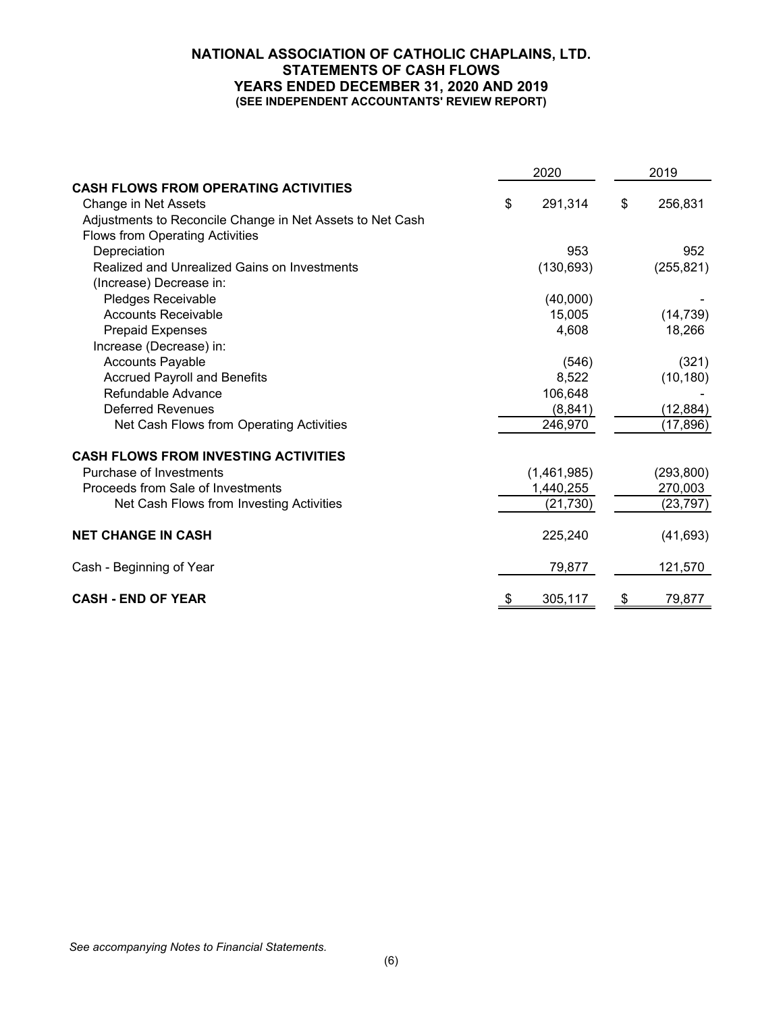#### **NATIONAL ASSOCIATION OF CATHOLIC CHAPLAINS, LTD. STATEMENTS OF CASH FLOWS YEARS ENDED DECEMBER 31, 2020 AND 2019 (SEE INDEPENDENT ACCOUNTANTS' REVIEW REPORT)**

|                                                           | 2020          | 2019 |            |  |
|-----------------------------------------------------------|---------------|------|------------|--|
| <b>CASH FLOWS FROM OPERATING ACTIVITIES</b>               |               |      |            |  |
| Change in Net Assets                                      | \$<br>291,314 | \$   | 256,831    |  |
| Adjustments to Reconcile Change in Net Assets to Net Cash |               |      |            |  |
| Flows from Operating Activities                           |               |      |            |  |
| Depreciation                                              | 953           |      | 952        |  |
| Realized and Unrealized Gains on Investments              | (130, 693)    |      | (255, 821) |  |
| (Increase) Decrease in:                                   |               |      |            |  |
| Pledges Receivable                                        | (40,000)      |      |            |  |
| <b>Accounts Receivable</b>                                | 15,005        |      | (14, 739)  |  |
| <b>Prepaid Expenses</b>                                   | 4,608         |      | 18,266     |  |
| Increase (Decrease) in:                                   |               |      |            |  |
| <b>Accounts Payable</b>                                   | (546)         |      | (321)      |  |
| <b>Accrued Payroll and Benefits</b>                       | 8,522         |      | (10, 180)  |  |
| Refundable Advance                                        | 106,648       |      |            |  |
| <b>Deferred Revenues</b>                                  | (8, 841)      |      | (12, 884)  |  |
| Net Cash Flows from Operating Activities                  | 246,970       |      | (17, 896)  |  |
| <b>CASH FLOWS FROM INVESTING ACTIVITIES</b>               |               |      |            |  |
| Purchase of Investments                                   | (1,461,985)   |      | (293, 800) |  |
| Proceeds from Sale of Investments                         | 1,440,255     |      | 270,003    |  |
| Net Cash Flows from Investing Activities                  | (21, 730)     |      | (23,797)   |  |
| <b>NET CHANGE IN CASH</b>                                 | 225,240       |      | (41, 693)  |  |
| Cash - Beginning of Year                                  | 79,877        |      | 121,570    |  |
| <b>CASH - END OF YEAR</b>                                 | \$<br>305,117 | \$   | 79,877     |  |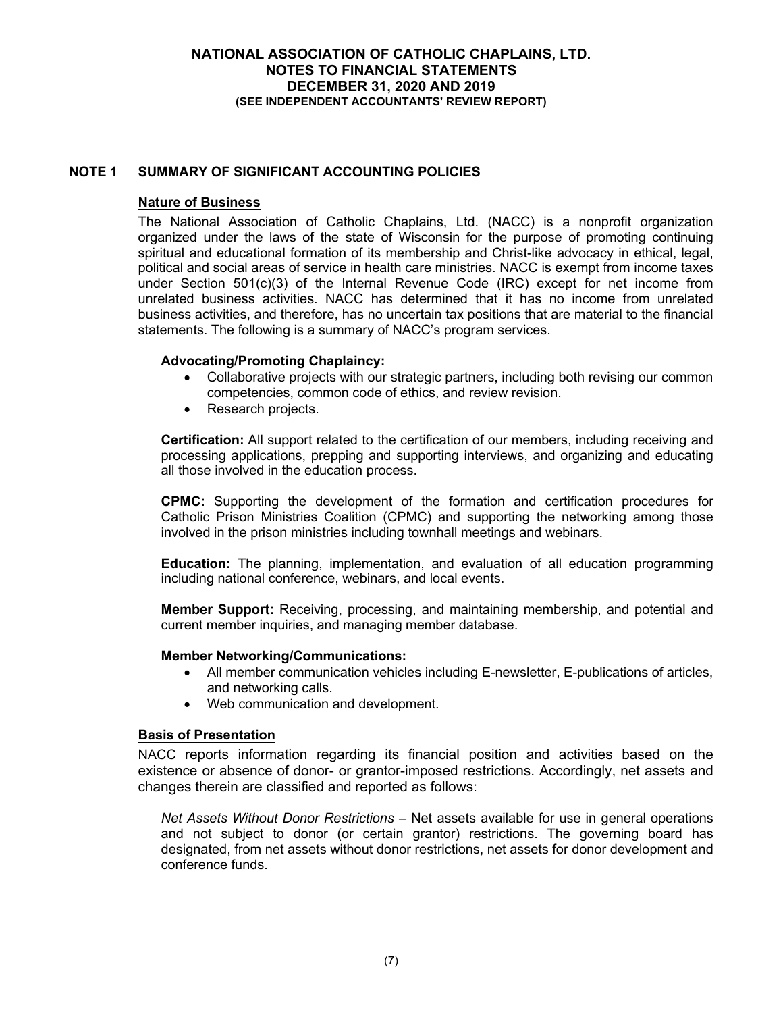### **NOTE 1 SUMMARY OF SIGNIFICANT ACCOUNTING POLICIES**

#### **Nature of Business**

The National Association of Catholic Chaplains, Ltd. (NACC) is a nonprofit organization organized under the laws of the state of Wisconsin for the purpose of promoting continuing spiritual and educational formation of its membership and Christ-like advocacy in ethical, legal, political and social areas of service in health care ministries. NACC is exempt from income taxes under Section 501(c)(3) of the Internal Revenue Code (IRC) except for net income from unrelated business activities. NACC has determined that it has no income from unrelated business activities, and therefore, has no uncertain tax positions that are material to the financial statements. The following is a summary of NACC's program services.

#### **Advocating/Promoting Chaplaincy:**

- Collaborative projects with our strategic partners, including both revising our common competencies, common code of ethics, and review revision.
- Research projects.

**Certification:** All support related to the certification of our members, including receiving and processing applications, prepping and supporting interviews, and organizing and educating all those involved in the education process.

**CPMC:** Supporting the development of the formation and certification procedures for Catholic Prison Ministries Coalition (CPMC) and supporting the networking among those involved in the prison ministries including townhall meetings and webinars.

**Education:** The planning, implementation, and evaluation of all education programming including national conference, webinars, and local events.

**Member Support:** Receiving, processing, and maintaining membership, and potential and current member inquiries, and managing member database.

#### **Member Networking/Communications:**

- All member communication vehicles including E-newsletter, E-publications of articles, and networking calls.
- Web communication and development.

#### **Basis of Presentation**

NACC reports information regarding its financial position and activities based on the existence or absence of donor- or grantor-imposed restrictions. Accordingly, net assets and changes therein are classified and reported as follows:

*Net Assets Without Donor Restrictions* – Net assets available for use in general operations and not subject to donor (or certain grantor) restrictions. The governing board has designated, from net assets without donor restrictions, net assets for donor development and conference funds.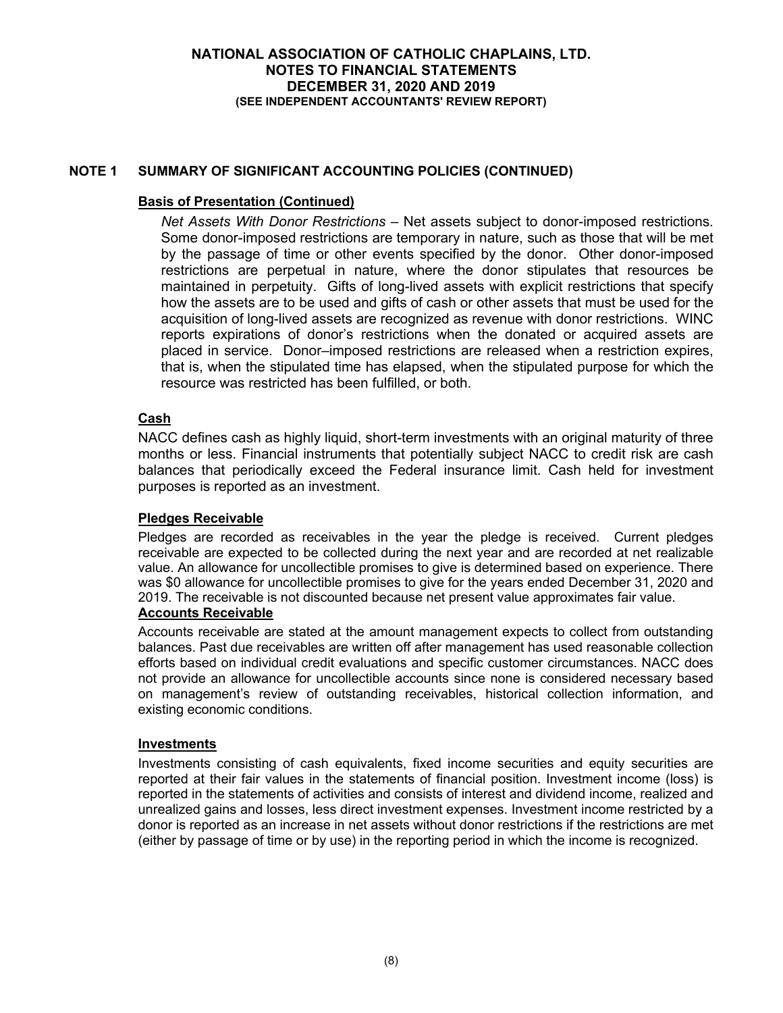### **NOTE 1 SUMMARY OF SIGNIFICANT ACCOUNTING POLICIES (CONTINUED)**

### **Basis of Presentation (Continued)**

*Net Assets With Donor Restrictions* – Net assets subject to donor-imposed restrictions. Some donor-imposed restrictions are temporary in nature, such as those that will be met by the passage of time or other events specified by the donor. Other donor-imposed restrictions are perpetual in nature, where the donor stipulates that resources be maintained in perpetuity. Gifts of long-lived assets with explicit restrictions that specify how the assets are to be used and gifts of cash or other assets that must be used for the acquisition of long-lived assets are recognized as revenue with donor restrictions. WINC reports expirations of donor's restrictions when the donated or acquired assets are placed in service. Donor–imposed restrictions are released when a restriction expires, that is, when the stipulated time has elapsed, when the stipulated purpose for which the resource was restricted has been fulfilled, or both.

### **Cash**

NACC defines cash as highly liquid, short-term investments with an original maturity of three months or less. Financial instruments that potentially subject NACC to credit risk are cash balances that periodically exceed the Federal insurance limit. Cash held for investment purposes is reported as an investment.

#### **Pledges Receivable**

Pledges are recorded as receivables in the year the pledge is received. Current pledges receivable are expected to be collected during the next year and are recorded at net realizable value. An allowance for uncollectible promises to give is determined based on experience. There was \$0 allowance for uncollectible promises to give for the years ended December 31, 2020 and 2019. The receivable is not discounted because net present value approximates fair value.

### **Accounts Receivable**

Accounts receivable are stated at the amount management expects to collect from outstanding balances. Past due receivables are written off after management has used reasonable collection efforts based on individual credit evaluations and specific customer circumstances. NACC does not provide an allowance for uncollectible accounts since none is considered necessary based on management's review of outstanding receivables, historical collection information, and existing economic conditions.

#### **Investments**

Investments consisting of cash equivalents, fixed income securities and equity securities are reported at their fair values in the statements of financial position. Investment income (loss) is reported in the statements of activities and consists of interest and dividend income, realized and unrealized gains and losses, less direct investment expenses. Investment income restricted by a donor is reported as an increase in net assets without donor restrictions if the restrictions are met (either by passage of time or by use) in the reporting period in which the income is recognized.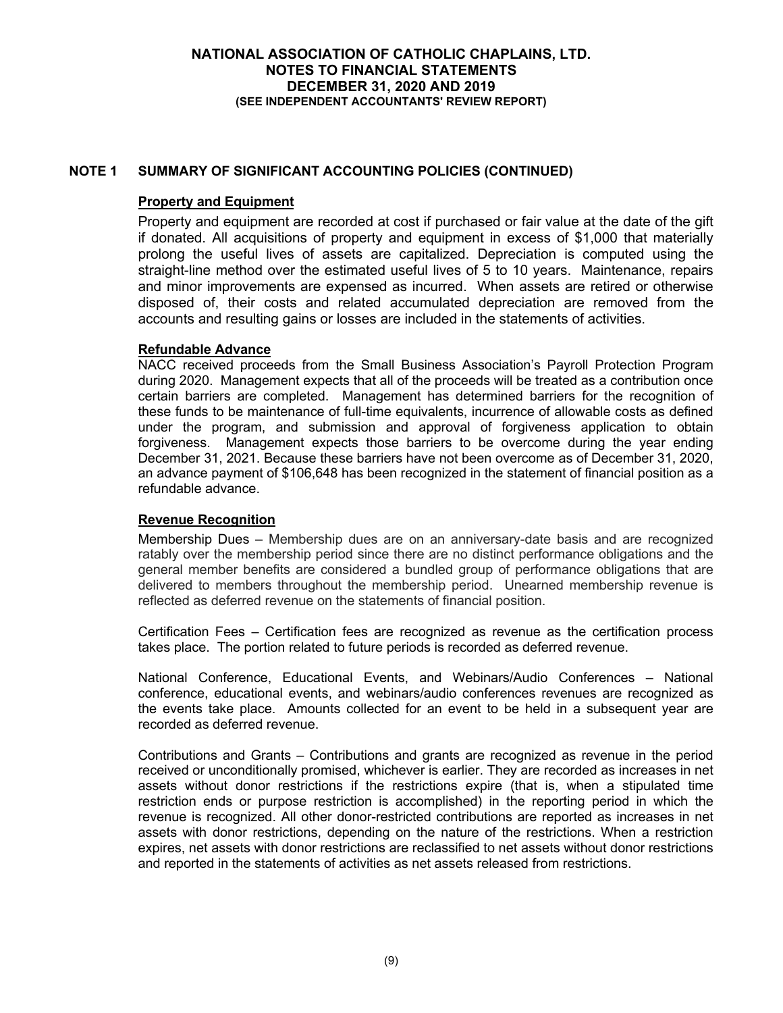### **NOTE 1 SUMMARY OF SIGNIFICANT ACCOUNTING POLICIES (CONTINUED)**

### **Property and Equipment**

Property and equipment are recorded at cost if purchased or fair value at the date of the gift if donated. All acquisitions of property and equipment in excess of \$1,000 that materially prolong the useful lives of assets are capitalized. Depreciation is computed using the straight-line method over the estimated useful lives of 5 to 10 years. Maintenance, repairs and minor improvements are expensed as incurred. When assets are retired or otherwise disposed of, their costs and related accumulated depreciation are removed from the accounts and resulting gains or losses are included in the statements of activities.

### **Refundable Advance**

NACC received proceeds from the Small Business Association's Payroll Protection Program during 2020. Management expects that all of the proceeds will be treated as a contribution once certain barriers are completed. Management has determined barriers for the recognition of these funds to be maintenance of full-time equivalents, incurrence of allowable costs as defined under the program, and submission and approval of forgiveness application to obtain forgiveness. Management expects those barriers to be overcome during the year ending December 31, 2021. Because these barriers have not been overcome as of December 31, 2020, an advance payment of \$106,648 has been recognized in the statement of financial position as a refundable advance.

### **Revenue Recognition**

Membership Dues – Membership dues are on an anniversary-date basis and are recognized ratably over the membership period since there are no distinct performance obligations and the general member benefits are considered a bundled group of performance obligations that are delivered to members throughout the membership period. Unearned membership revenue is reflected as deferred revenue on the statements of financial position.

Certification Fees – Certification fees are recognized as revenue as the certification process takes place. The portion related to future periods is recorded as deferred revenue.

National Conference, Educational Events, and Webinars/Audio Conferences – National conference, educational events, and webinars/audio conferences revenues are recognized as the events take place. Amounts collected for an event to be held in a subsequent year are recorded as deferred revenue.

Contributions and Grants – Contributions and grants are recognized as revenue in the period received or unconditionally promised, whichever is earlier. They are recorded as increases in net assets without donor restrictions if the restrictions expire (that is, when a stipulated time restriction ends or purpose restriction is accomplished) in the reporting period in which the revenue is recognized. All other donor-restricted contributions are reported as increases in net assets with donor restrictions, depending on the nature of the restrictions. When a restriction expires, net assets with donor restrictions are reclassified to net assets without donor restrictions and reported in the statements of activities as net assets released from restrictions.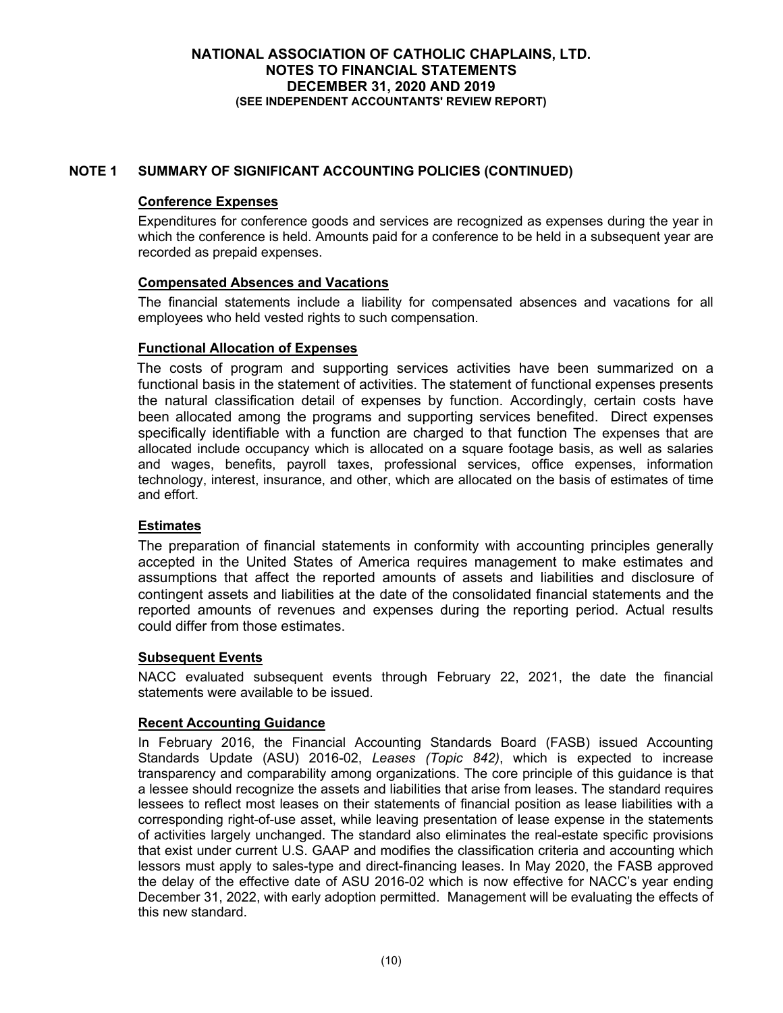### **NOTE 1 SUMMARY OF SIGNIFICANT ACCOUNTING POLICIES (CONTINUED)**

### **Conference Expenses**

Expenditures for conference goods and services are recognized as expenses during the year in which the conference is held. Amounts paid for a conference to be held in a subsequent year are recorded as prepaid expenses.

#### **Compensated Absences and Vacations**

The financial statements include a liability for compensated absences and vacations for all employees who held vested rights to such compensation.

### **Functional Allocation of Expenses**

The costs of program and supporting services activities have been summarized on a functional basis in the statement of activities. The statement of functional expenses presents the natural classification detail of expenses by function. Accordingly, certain costs have been allocated among the programs and supporting services benefited. Direct expenses specifically identifiable with a function are charged to that function The expenses that are allocated include occupancy which is allocated on a square footage basis, as well as salaries and wages, benefits, payroll taxes, professional services, office expenses, information technology, interest, insurance, and other, which are allocated on the basis of estimates of time and effort.

### **Estimates**

The preparation of financial statements in conformity with accounting principles generally accepted in the United States of America requires management to make estimates and assumptions that affect the reported amounts of assets and liabilities and disclosure of contingent assets and liabilities at the date of the consolidated financial statements and the reported amounts of revenues and expenses during the reporting period. Actual results could differ from those estimates.

### **Subsequent Events**

NACC evaluated subsequent events through February 22, 2021, the date the financial statements were available to be issued.

#### **Recent Accounting Guidance**

In February 2016, the Financial Accounting Standards Board (FASB) issued Accounting Standards Update (ASU) 2016-02, *Leases (Topic 842)*, which is expected to increase transparency and comparability among organizations. The core principle of this guidance is that a lessee should recognize the assets and liabilities that arise from leases. The standard requires lessees to reflect most leases on their statements of financial position as lease liabilities with a corresponding right-of-use asset, while leaving presentation of lease expense in the statements of activities largely unchanged. The standard also eliminates the real-estate specific provisions that exist under current U.S. GAAP and modifies the classification criteria and accounting which lessors must apply to sales-type and direct-financing leases. In May 2020, the FASB approved the delay of the effective date of ASU 2016-02 which is now effective for NACC's year ending December 31, 2022, with early adoption permitted. Management will be evaluating the effects of this new standard.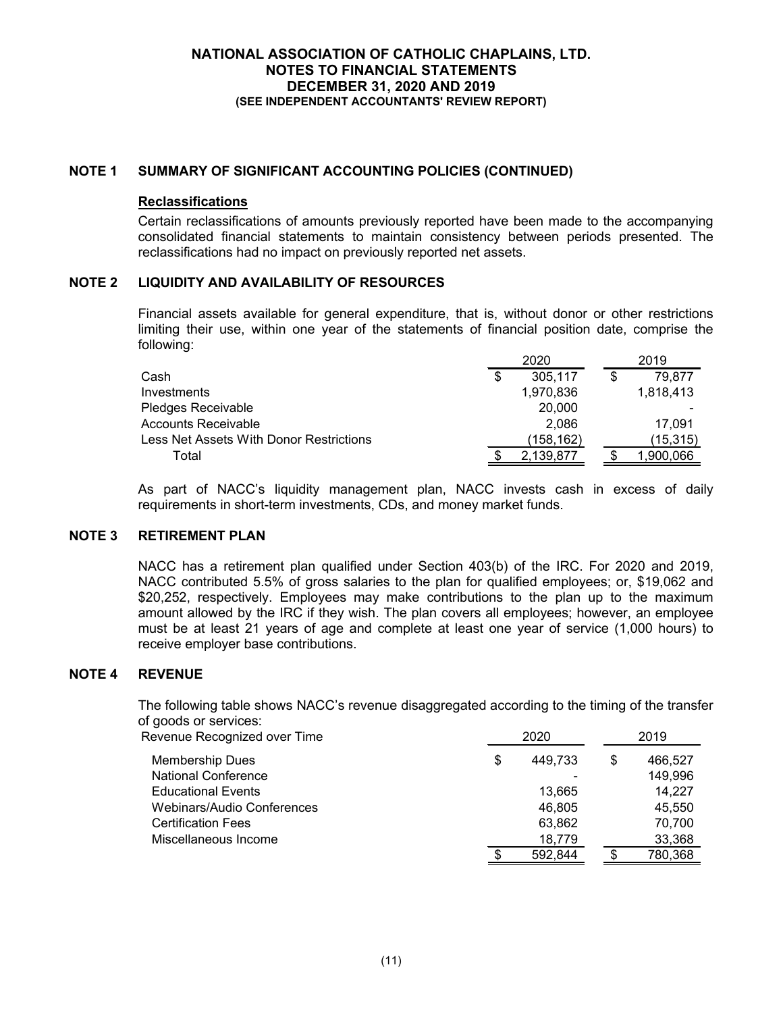#### **NOTE 1 SUMMARY OF SIGNIFICANT ACCOUNTING POLICIES (CONTINUED)**

#### **Reclassifications**

Certain reclassifications of amounts previously reported have been made to the accompanying consolidated financial statements to maintain consistency between periods presented. The reclassifications had no impact on previously reported net assets.

#### **NOTE 2 LIQUIDITY AND AVAILABILITY OF RESOURCES**

Financial assets available for general expenditure, that is, without donor or other restrictions limiting their use, within one year of the statements of financial position date, comprise the following:

|                                         | 2020      |   | 2019       |
|-----------------------------------------|-----------|---|------------|
| Cash                                    | 305.117   | S | 79.877     |
| Investments                             | 1,970,836 |   | 1,818,413  |
| Pledges Receivable                      | 20,000    |   |            |
| Accounts Receivable                     | 2.086     |   | 17.091     |
| Less Net Assets With Donor Restrictions | (158,162) |   | (15,315)   |
| Total                                   | 2,139,877 |   | 900,066, ا |

As part of NACC's liquidity management plan, NACC invests cash in excess of daily requirements in short-term investments, CDs, and money market funds.

#### **NOTE 3 RETIREMENT PLAN**

NACC has a retirement plan qualified under Section 403(b) of the IRC. For 2020 and 2019, NACC contributed 5.5% of gross salaries to the plan for qualified employees; or, \$19,062 and \$20,252, respectively. Employees may make contributions to the plan up to the maximum amount allowed by the IRC if they wish. The plan covers all employees; however, an employee must be at least 21 years of age and complete at least one year of service (1,000 hours) to receive employer base contributions.

#### **NOTE 4 REVENUE**

The following table shows NACC's revenue disaggregated according to the timing of the transfer of goods or services:

| Revenue Recognized over Time      | 2020          |   | 2019    |
|-----------------------------------|---------------|---|---------|
| <b>Membership Dues</b>            | \$<br>449,733 | S | 466,527 |
| <b>National Conference</b>        |               |   | 149,996 |
| <b>Educational Events</b>         | 13,665        |   | 14,227  |
| <b>Webinars/Audio Conferences</b> | 46.805        |   | 45,550  |
| <b>Certification Fees</b>         | 63,862        |   | 70.700  |
| Miscellaneous Income              | 18,779        |   | 33,368  |
|                                   | \$<br>592.844 | S | 780,368 |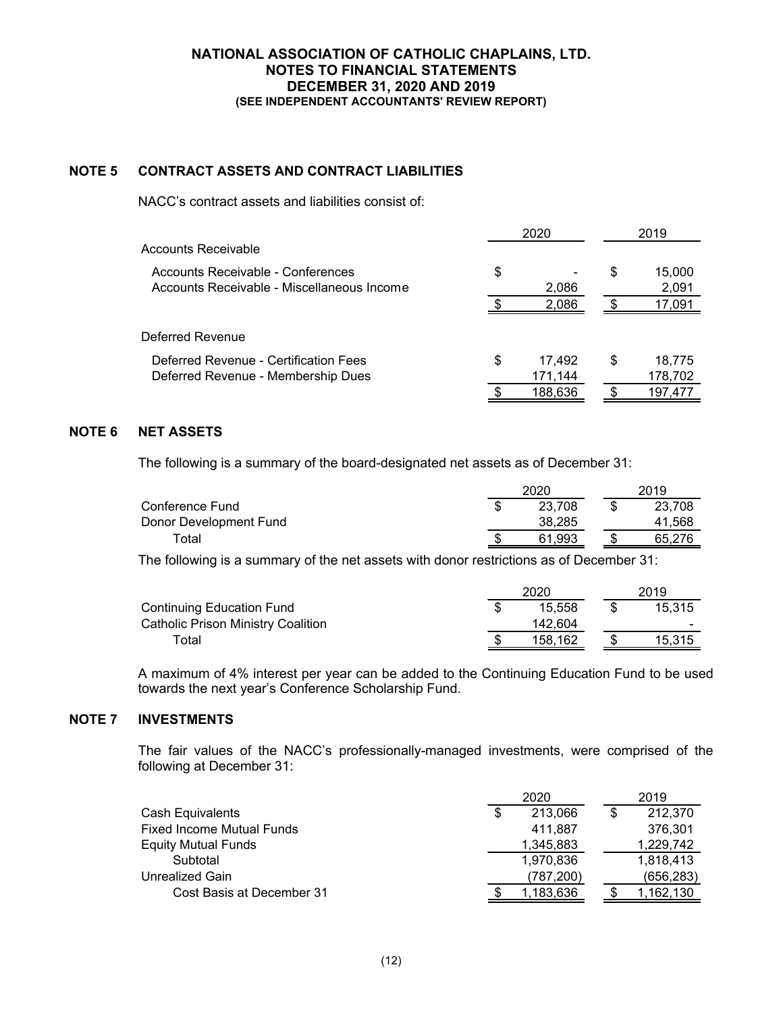## **NOTE 5 CONTRACT ASSETS AND CONTRACT LIABILITIES**

NACC's contract assets and liabilities consist of:

|                                            | 2020 |         | 2019         |  |
|--------------------------------------------|------|---------|--------------|--|
| Accounts Receivable                        |      |         |              |  |
| Accounts Receivable - Conferences          | \$   |         | \$<br>15,000 |  |
| Accounts Receivable - Miscellaneous Income |      | 2,086   | 2,091        |  |
|                                            |      | 2,086   | 17,091       |  |
|                                            |      |         |              |  |
| Deferred Revenue                           |      |         |              |  |
| Deferred Revenue - Certification Fees      | \$   | 17,492  | \$<br>18,775 |  |
| Deferred Revenue - Membership Dues         |      | 171,144 | 178,702      |  |
|                                            | \$   | 188,636 | 197.477      |  |

## **NOTE 6 NET ASSETS**

The following is a summary of the board-designated net assets as of December 31:

| 23.708 |        |
|--------|--------|
|        | 23,708 |
| 38.285 | 41.568 |
| 61.993 | 65.276 |
|        |        |

The following is a summary of the net assets with donor restrictions as of December 31:

|                                           | 2020 |         |  | 2019   |  |
|-------------------------------------------|------|---------|--|--------|--|
| <b>Continuing Education Fund</b>          |      | 15.558  |  | 15.315 |  |
| <b>Catholic Prison Ministry Coalition</b> |      | 142.604 |  | -      |  |
| ™otal                                     |      | 158.162 |  | 15.315 |  |

A maximum of 4% interest per year can be added to the Continuing Education Fund to be used towards the next year's Conference Scholarship Fund.

#### **NOTE 7 INVESTMENTS**

The fair values of the NACC's professionally-managed investments, were comprised of the following at December 31:

|                                  |  | 2019       |            |
|----------------------------------|--|------------|------------|
| Cash Equivalents                 |  | 213,066    | 212,370    |
| <b>Fixed Income Mutual Funds</b> |  | 411.887    | 376.301    |
| <b>Equity Mutual Funds</b>       |  | 1,345,883  | 1,229,742  |
| Subtotal                         |  | 1,970,836  | 1,818,413  |
| Unrealized Gain                  |  | (787, 200) | (656, 283) |
| Cost Basis at December 31        |  | 1,183,636  | 1,162,130  |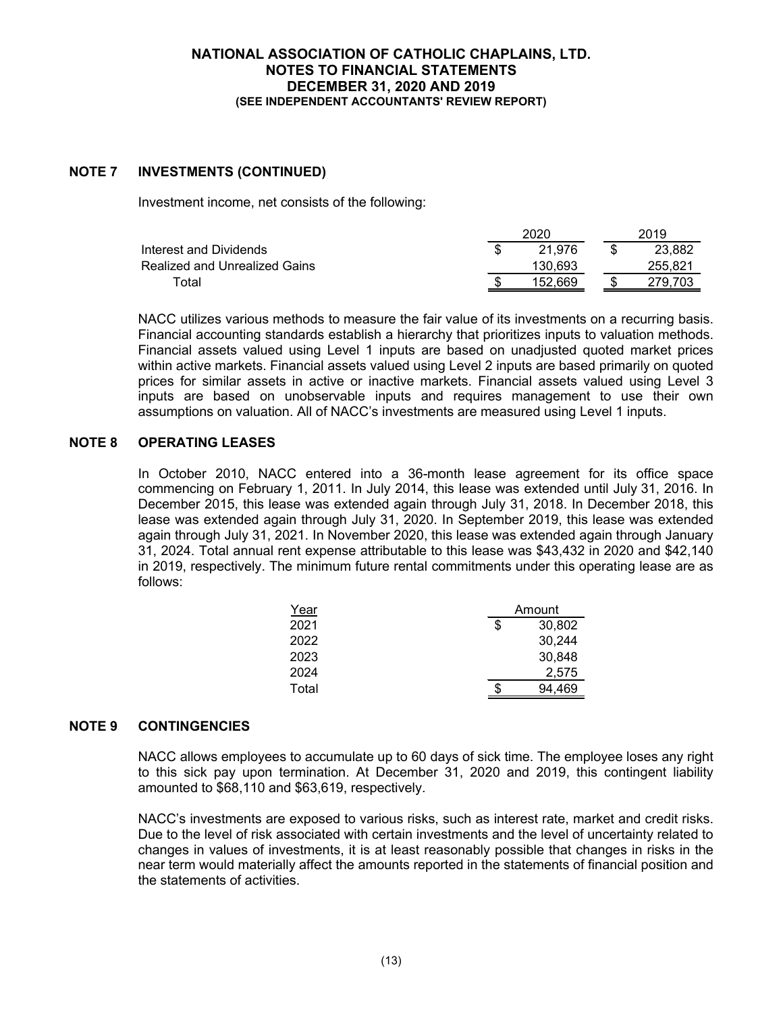#### **NOTE 7 INVESTMENTS (CONTINUED)**

Investment income, net consists of the following:

|                               | 2020    | 2019    |
|-------------------------------|---------|---------|
| Interest and Dividends        | 21.976  | 23.882  |
| Realized and Unrealized Gains | 130.693 | 255.821 |
| Total                         | 152.669 | 279.703 |

NACC utilizes various methods to measure the fair value of its investments on a recurring basis. Financial accounting standards establish a hierarchy that prioritizes inputs to valuation methods. Financial assets valued using Level 1 inputs are based on unadjusted quoted market prices within active markets. Financial assets valued using Level 2 inputs are based primarily on quoted prices for similar assets in active or inactive markets. Financial assets valued using Level 3 inputs are based on unobservable inputs and requires management to use their own assumptions on valuation. All of NACC's investments are measured using Level 1 inputs.

### **NOTE 8 OPERATING LEASES**

In October 2010, NACC entered into a 36-month lease agreement for its office space commencing on February 1, 2011. In July 2014, this lease was extended until July 31, 2016. In December 2015, this lease was extended again through July 31, 2018. In December 2018, this lease was extended again through July 31, 2020. In September 2019, this lease was extended again through July 31, 2021. In November 2020, this lease was extended again through January 31, 2024. Total annual rent expense attributable to this lease was \$43,432 in 2020 and \$42,140 in 2019, respectively. The minimum future rental commitments under this operating lease are as follows:

| Year  |    | Amount |  |  |
|-------|----|--------|--|--|
| 2021  | \$ | 30,802 |  |  |
| 2022  |    | 30,244 |  |  |
| 2023  |    | 30,848 |  |  |
| 2024  |    | 2,575  |  |  |
| Total | S  | 94.469 |  |  |

#### **NOTE 9 CONTINGENCIES**

NACC allows employees to accumulate up to 60 days of sick time. The employee loses any right to this sick pay upon termination. At December 31, 2020 and 2019, this contingent liability amounted to \$68,110 and \$63,619, respectively.

NACC's investments are exposed to various risks, such as interest rate, market and credit risks. Due to the level of risk associated with certain investments and the level of uncertainty related to changes in values of investments, it is at least reasonably possible that changes in risks in the near term would materially affect the amounts reported in the statements of financial position and the statements of activities.